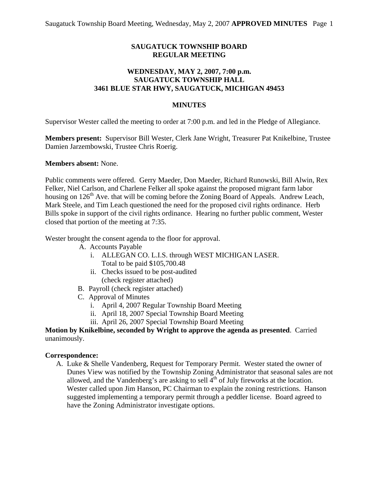## **SAUGATUCK TOWNSHIP BOARD REGULAR MEETING**

### **WEDNESDAY, MAY 2, 2007, 7:00 p.m. SAUGATUCK TOWNSHIP HALL 3461 BLUE STAR HWY, SAUGATUCK, MICHIGAN 49453**

#### **MINUTES**

Supervisor Wester called the meeting to order at 7:00 p.m. and led in the Pledge of Allegiance.

**Members present:** Supervisor Bill Wester, Clerk Jane Wright, Treasurer Pat Knikelbine, Trustee Damien Jarzembowski, Trustee Chris Roerig.

#### **Members absent:** None.

Public comments were offered. Gerry Maeder, Don Maeder, Richard Runowski, Bill Alwin, Rex Felker, Niel Carlson, and Charlene Felker all spoke against the proposed migrant farm labor housing on  $126<sup>th</sup>$  Ave. that will be coming before the Zoning Board of Appeals. Andrew Leach, Mark Steele, and Tim Leach questioned the need for the proposed civil rights ordinance. Herb Bills spoke in support of the civil rights ordinance. Hearing no further public comment, Wester closed that portion of the meeting at 7:35.

Wester brought the consent agenda to the floor for approval.

- A. Accounts Payable
	- i. ALLEGAN CO. L.I.S. through WEST MICHIGAN LASER. Total to be paid \$105,700.48
	- ii. Checks issued to be post-audited (check register attached)
- B. Payroll (check register attached)
- C. Approval of Minutes
	- i. April 4, 2007 Regular Township Board Meeting
	- ii. April 18, 2007 Special Township Board Meeting
	- iii. April 26, 2007 Special Township Board Meeting

**Motion by Knikelbine, seconded by Wright to approve the agenda as presented**. Carried unanimously.

### **Correspondence:**

A. Luke & Shelle Vandenberg, Request for Temporary Permit. Wester stated the owner of Dunes View was notified by the Township Zoning Administrator that seasonal sales are not allowed, and the Vandenberg's are asking to sell  $\overline{4}^{th}$  of July fireworks at the location. Wester called upon Jim Hanson, PC Chairman to explain the zoning restrictions. Hanson suggested implementing a temporary permit through a peddler license. Board agreed to have the Zoning Administrator investigate options.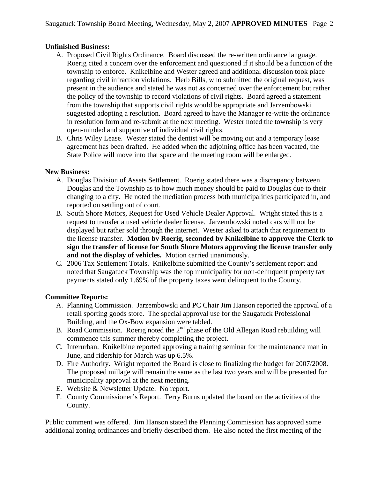### **Unfinished Business:**

- A. Proposed Civil Rights Ordinance. Board discussed the re-written ordinance language. Roerig cited a concern over the enforcement and questioned if it should be a function of the township to enforce. Knikelbine and Wester agreed and additional discussion took place regarding civil infraction violations. Herb Bills, who submitted the original request, was present in the audience and stated he was not as concerned over the enforcement but rather the policy of the township to record violations of civil rights. Board agreed a statement from the township that supports civil rights would be appropriate and Jarzembowski suggested adopting a resolution. Board agreed to have the Manager re-write the ordinance in resolution form and re-submit at the next meeting. Wester noted the township is very open-minded and supportive of individual civil rights.
- B. Chris Wiley Lease. Wester stated the dentist will be moving out and a temporary lease agreement has been drafted. He added when the adjoining office has been vacated, the State Police will move into that space and the meeting room will be enlarged.

### **New Business:**

- A. Douglas Division of Assets Settlement. Roerig stated there was a discrepancy between Douglas and the Township as to how much money should be paid to Douglas due to their changing to a city. He noted the mediation process both municipalities participated in, and reported on settling out of court.
- B. South Shore Motors, Request for Used Vehicle Dealer Approval. Wright stated this is a request to transfer a used vehicle dealer license. Jarzembowski noted cars will not be displayed but rather sold through the internet. Wester asked to attach that requirement to the license transfer. **Motion by Roerig, seconded by Knikelbine to approve the Clerk to sign the transfer of license for South Shore Motors approving the license transfer only and not the display of vehicles.** Motion carried unanimously.
- C. 2006 Tax Settlement Totals. Knikelbine submitted the County's settlement report and noted that Saugatuck Township was the top municipality for non-delinquent property tax payments stated only 1.69% of the property taxes went delinquent to the County.

# **Committee Reports:**

- A. Planning Commission. Jarzembowski and PC Chair Jim Hanson reported the approval of a retail sporting goods store. The special approval use for the Saugatuck Professional Building, and the Ox-Bow expansion were tabled.
- B. Road Commission. Roerig noted the  $2<sup>nd</sup>$  phase of the Old Allegan Road rebuilding will commence this summer thereby completing the project.
- C. Interurban. Knikelbine reported approving a training seminar for the maintenance man in June, and ridership for March was up 6.5%.
- D. Fire Authority. Wright reported the Board is close to finalizing the budget for 2007/2008. The proposed millage will remain the same as the last two years and will be presented for municipality approval at the next meeting.
- E. Website & Newsletter Update. No report.
- F. County Commissioner's Report. Terry Burns updated the board on the activities of the County.

Public comment was offered. Jim Hanson stated the Planning Commission has approved some additional zoning ordinances and briefly described them. He also noted the first meeting of the